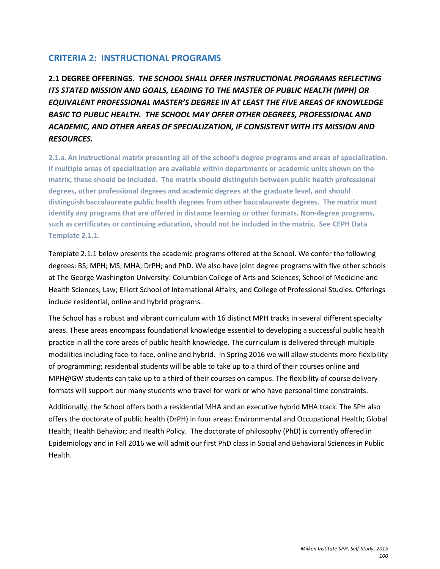# **CRITERIA 2: INSTRUCTIONAL PROGRAMS**

**2.1 DEGREE OFFERINGS.** *THE SCHOOL SHALL OFFER INSTRUCTIONAL PROGRAMS REFLECTING ITS STATED MISSION AND GOALS, LEADING TO THE MASTER OF PUBLIC HEALTH (MPH) OR EQUIVALENT PROFESSIONAL MASTER'S DEGREE IN AT LEAST THE FIVE AREAS OF KNOWLEDGE BASIC TO PUBLIC HEALTH. THE SCHOOL MAY OFFER OTHER DEGREES, PROFESSIONAL AND ACADEMIC, AND OTHER AREAS OF SPECIALIZATION, IF CONSISTENT WITH ITS MISSION AND RESOURCES.*

**2.1.a.An instructional matrix presenting all of the school's degree programs and areas of specialization. If multiple areas of specialization are available within departments or academic units shown on the matrix, these should be included. The matrix should distinguish between public health professional degrees, other professional degrees and academic degrees at the graduate level, and should distinguish baccalaureate public health degrees from other baccalaureate degrees. The matrix must identify any programs that are offered in distance learning or other formats. Non-degree programs, such as certificates or continuing education, should not be included in the matrix. See CEPH Data Template 2.1.1.**

Template 2.1.1 below presents the academic programs offered at the School. We confer the following degrees: BS; MPH; MS; MHA; DrPH; and PhD. We also have joint degree programs with five other schools at The George Washington University: Columbian College of Arts and Sciences; School of Medicine and Health Sciences; Law; Elliott School of International Affairs; and College of Professional Studies. Offerings include residential, online and hybrid programs.

The School has a robust and vibrant curriculum with 16 distinct MPH tracks in several different specialty areas. These areas encompass foundational knowledge essential to developing a successful public health practice in all the core areas of public health knowledge. The curriculum is delivered through multiple modalities including face-to-face, online and hybrid. In Spring 2016 we will allow students more flexibility of programming; residential students will be able to take up to a third of their courses online and MPH@GW students can take up to a third of their courses on campus. The flexibility of course delivery formats will support our many students who travel for work or who have personal time constraints.

Additionally, the School offers both a residential MHA and an executive hybrid MHA track. The SPH also offers the doctorate of public health (DrPH) in four areas: Environmental and Occupational Health; Global Health; Health Behavior; and Health Policy. The doctorate of philosophy (PhD) is currently offered in Epidemiology and in Fall 2016 we will admit our first PhD class in Social and Behavioral Sciences in Public Health.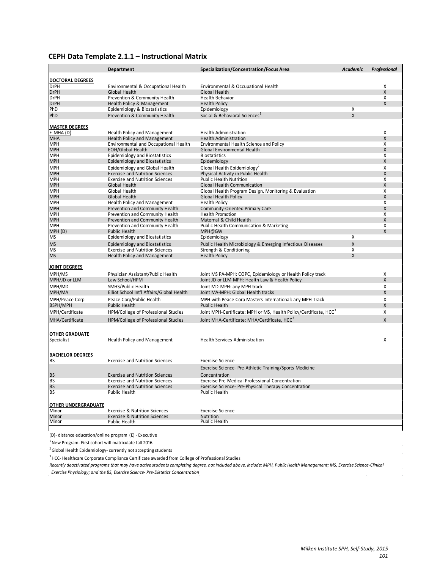#### **CEPH Data Template 2.1.1 – Instructional Matrix**

|                                     | Department                                                      | Specialization/Concentration/Focus Area                                          | Academic | Professional |
|-------------------------------------|-----------------------------------------------------------------|----------------------------------------------------------------------------------|----------|--------------|
| <b>DOCTORAL DEGREES</b>             |                                                                 |                                                                                  |          |              |
| <b>DrPH</b>                         | Environmental & Occupational Health                             | Environmental & Occupational Health                                              |          | X            |
| <b>DrPH</b>                         | Global Health                                                   | <b>Global Health</b>                                                             |          | X            |
| <b>DrPH</b>                         | Prevention & Community Health                                   | <b>Health Behavior</b>                                                           |          | Х            |
| <b>DrPH</b>                         | Health Policy & Management                                      | <b>Health Policy</b>                                                             |          | X            |
| PhD                                 | Epidemiology & Biostatistics                                    | Epidemiology                                                                     | X        |              |
| PhD                                 | Prevention & Community Health                                   | Social & Behavioral Sciences <sup>1</sup>                                        | X        |              |
| <b>MASTER DEGREES</b>               |                                                                 |                                                                                  |          |              |
| $E-MHA(D)$                          | <b>Health Policy and Management</b>                             | <b>Health Administration</b>                                                     |          | X            |
| <b>MHA</b>                          | <b>Health Policy and Management</b>                             | <b>Health Administration</b>                                                     |          | X            |
| <b>MPH</b>                          | Environmental and Occupational Health                           | Environmental Health Science and Policy                                          |          | X            |
| <b>MPH</b>                          | <b>EOH/Global Health</b>                                        | Global Environmental Health                                                      |          | X            |
| <b>MPH</b>                          | <b>Epidemiology and Biostatistics</b>                           | <b>Biostatistics</b>                                                             |          | X            |
| <b>MPH</b>                          | Epidemiology and Biostatistics                                  | Epidemiology                                                                     |          | X            |
| <b>MPH</b>                          | Epidemiology and Global Health                                  | Global Health Epidemiology <sup>2</sup>                                          |          | X            |
| <b>MPH</b>                          | <b>Exercise and Nutrition Sciences</b>                          | Physical Activity in Public Health                                               |          | X            |
| <b>MPH</b>                          | <b>Exercise and Nutrition Sciences</b>                          | <b>Public Health Nutrition</b>                                                   |          | X            |
| <b>MPH</b>                          | Global Health                                                   | <b>Global Health Communication</b>                                               |          | X            |
| <b>MPH</b>                          | Global Health                                                   | Global Health Program Design, Monitoring & Evaluation                            |          | X            |
| <b>MPH</b>                          | Global Health                                                   | <b>Global Health Policy</b>                                                      |          | X            |
| <b>MPH</b>                          | <b>Health Policy and Management</b>                             | <b>Health Policy</b>                                                             |          | X            |
| <b>MPH</b>                          | Prevention and Community Health                                 | Community-Oriented Primary Care                                                  |          | X            |
| <b>MPH</b>                          | Prevention and Community Health                                 | <b>Health Promotion</b>                                                          |          | X            |
| <b>MPH</b>                          | Prevention and Community Health                                 | Maternal & Child Health                                                          |          | X            |
| <b>MPH</b>                          | Prevention and Community Health                                 | Public Health Communication & Marketing                                          |          | Χ            |
| MPH (D)                             | <b>Public Health</b>                                            | MPH@GW                                                                           |          | X            |
| <b>MS</b>                           | Epidemiology and Biostatistics                                  | Epidemiology                                                                     | X        |              |
| <b>MS</b>                           | <b>Epidemiology and Biostatistics</b>                           | Public Health Microbiology & Emerging Infectious Diseases                        | X        |              |
| <b>MS</b>                           | <b>Exercise and Nutrition Sciences</b>                          | Strength & Conditioning                                                          | X        |              |
| <b>MS</b>                           | <b>Health Policy and Management</b>                             | <b>Health Policy</b>                                                             | X        |              |
| JOINT DEGREES                       |                                                                 |                                                                                  |          |              |
| MPH/MS                              | Physician Assistant/Public Health                               | Joint MS PA-MPH: COPC, Epidemiology or Health Policy track                       |          | X            |
| MPH/JD or LLM                       | Law School/HPM                                                  | Joint JD or LLM-MPH: Health Law & Health Policy                                  |          | X            |
|                                     |                                                                 |                                                                                  |          | X            |
| MPH/MD                              | SMHS/Public Health<br>Elliot School Int'l Affairs/Global Health | Joint MD-MPH: any MPH track<br>Joint MA-MPH: Global Health tracks                |          | X            |
| MPH/MA                              |                                                                 |                                                                                  |          |              |
| MPH/Peace Corp<br><b>BSPH/MPH</b>   | Peace Corp/Public Health                                        | MPH with Peace Corp Masters International: any MPH Track<br><b>Public Health</b> |          | X<br>X       |
| MPH/Certificate                     | <b>Public Health</b><br>HPM/College of Professional Studies     | Joint MPH-Certificate: MPH or MS, Health Policy/Certificate, HCC <sup>3</sup>    |          | X            |
| MHA/Certificate                     | HPM/College of Professional Studies                             | Joint MHA-Certificate: MHA/Certificate, HCC <sup>3</sup>                         |          | X            |
|                                     |                                                                 |                                                                                  |          |              |
| <b>OTHER GRADUATE</b><br>Specialist | Health Policy and Management                                    | <b>Health Services Administration</b>                                            |          | X            |
|                                     |                                                                 |                                                                                  |          |              |
| <b>BACHELOR DEGREES</b>             |                                                                 |                                                                                  |          |              |
| <b>BS</b>                           | <b>Exercise and Nutrition Sciences</b>                          | <b>Exercise Science</b>                                                          |          |              |
|                                     |                                                                 | Exercise Science- Pre-Athletic Training/Sports Medicine                          |          |              |
| <b>BS</b>                           | <b>Exercise and Nutrition Sciences</b>                          | Concentration                                                                    |          |              |
| <b>BS</b>                           | <b>Exercise and Nutrition Sciences</b>                          | <b>Exercise Pre-Medical Professional Concentration</b>                           |          |              |
| <b>BS</b>                           | <b>Exercise and Nutrition Sciences</b>                          | Exercise Science- Pre-Physical Therapy Concentration                             |          |              |
| <b>BS</b>                           | Public Health                                                   | <b>Public Health</b>                                                             |          |              |
| <b>OTHER UNDERGRADUATE</b>          |                                                                 |                                                                                  |          |              |
| Minor                               | <b>Exercise &amp; Nutrition Sciences</b>                        | <b>Exercise Science</b>                                                          |          |              |
| Minor                               | <b>Exercise &amp; Nutrition Sciences</b>                        | Nutrition                                                                        |          |              |
| Minor                               | <b>Public Health</b>                                            | Public Health                                                                    |          |              |
|                                     |                                                                 |                                                                                  |          |              |

(D)- distance education/online program (E) - Executive

 $1$ New Program- First cohort will matriculate fall 2016.

 $2$  Global Health Epidemiology- currently not accepting students

<sup>3</sup> HCC- Healthcare Corporate Compliance Certificate awarded from College of Professional Studies

*Recently deactivated programs that may have active students completing degree, not included above, include: MPH, Public Health Management; MS, Exercise Science-Clinical Exercise Physiology; and the BS, Exercise Science- Pre-Dietetics Concentration*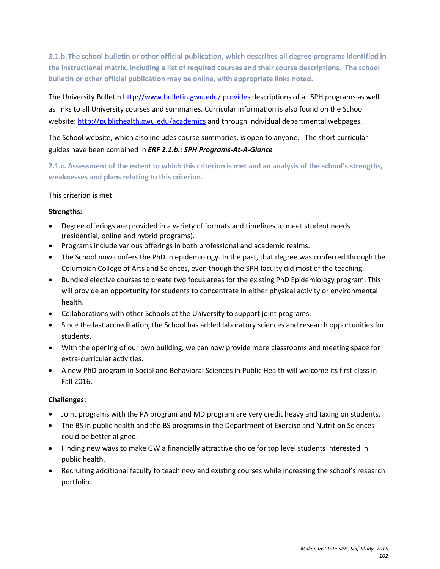**2.1.b.The school bulletin or other official publication, which describes all degree programs identified in the instructional matrix, including a list of required courses and their course descriptions. The school bulletin or other official publication may be online, with appropriate links noted.**

The University Bulletin<http://www.bulletin.gwu.edu/> provides descriptions of all SPH programs as well as links to all University courses and summaries. Curricular information is also found on the School website:<http://publichealth.gwu.edu/academics> and through individual departmental webpages.

The School website, which also includes course summaries, is open to anyone. The short curricular guides have been combined in *ERF 2.1.b.: SPH Programs-At-A-Glance*

**2.1.c. Assessment of the extent to which this criterion is met and an analysis of the school's strengths, weaknesses and plans relating to this criterion.**

This criterion is met.

### **Strengths:**

- Degree offerings are provided in a variety of formats and timelines to meet student needs (residential, online and hybrid programs).
- Programs include various offerings in both professional and academic realms.
- The School now confers the PhD in epidemiology. In the past, that degree was conferred through the Columbian College of Arts and Sciences, even though the SPH faculty did most of the teaching.
- Bundled elective courses to create two focus areas for the existing PhD Epidemiology program. This will provide an opportunity for students to concentrate in either physical activity or environmental health.
- Collaborations with other Schools at the University to support joint programs.
- Since the last accreditation, the School has added laboratory sciences and research opportunities for students.
- With the opening of our own building, we can now provide more classrooms and meeting space for extra-curricular activities.
- A new PhD program in Social and Behavioral Sciences in Public Health will welcome its first class in Fall 2016.

## **Challenges:**

- Joint programs with the PA program and MD program are very credit heavy and taxing on students.
- The BS in public health and the BS programs in the Department of Exercise and Nutrition Sciences could be better aligned.
- Finding new ways to make GW a financially attractive choice for top level students interested in public health.
- Recruiting additional faculty to teach new and existing courses while increasing the school's research portfolio.